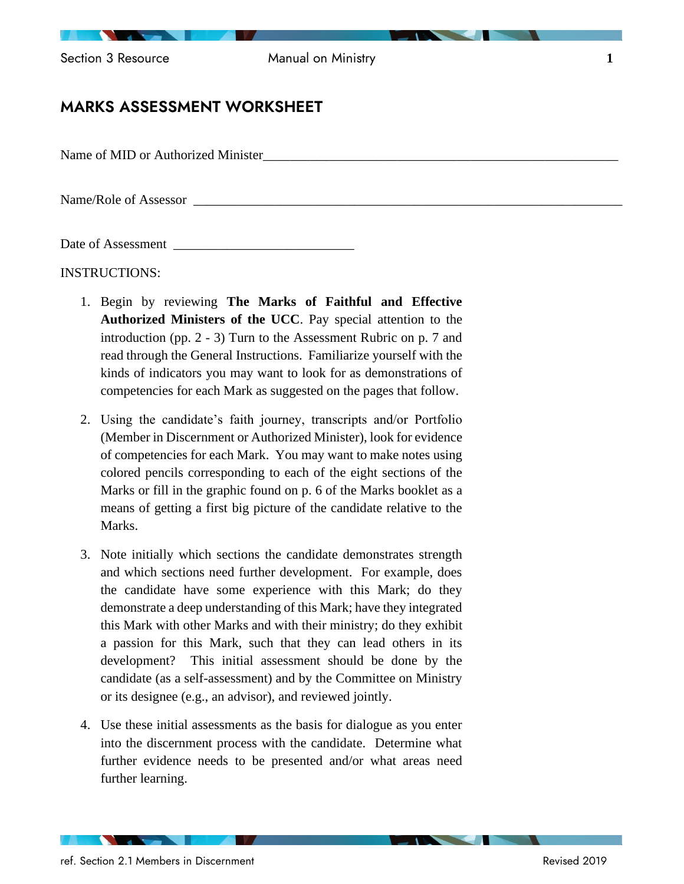Section 3 Resource **1 Manual on Ministry 1** 

## MARKS ASSESSMENT WORKSHEET

Name of MID or Authorized Minister

Name/Role of Assessor

Date of Assessment

INSTRUCTIONS:

- 1. Begin by reviewing **The Marks of Faithful and Effective Authorized Ministers of the UCC**. Pay special attention to the introduction (pp. 2 - 3) Turn to the Assessment Rubric on p. 7 and read through the General Instructions. Familiarize yourself with the kinds of indicators you may want to look for as demonstrations of competencies for each Mark as suggested on the pages that follow.
- 2. Using the candidate's faith journey, transcripts and/or Portfolio (Member in Discernment or Authorized Minister), look for evidence of competencies for each Mark. You may want to make notes using colored pencils corresponding to each of the eight sections of the Marks or fill in the graphic found on p. 6 of the Marks booklet as a means of getting a first big picture of the candidate relative to the Marks.
- 3. Note initially which sections the candidate demonstrates strength and which sections need further development. For example, does the candidate have some experience with this Mark; do they demonstrate a deep understanding of this Mark; have they integrated this Mark with other Marks and with their ministry; do they exhibit a passion for this Mark, such that they can lead others in its development? This initial assessment should be done by the candidate (as a self-assessment) and by the Committee on Ministry or its designee (e.g., an advisor), and reviewed jointly.
- 4. Use these initial assessments as the basis for dialogue as you enter into the discernment process with the candidate. Determine what further evidence needs to be presented and/or what areas need further learning.

**STATISTICS**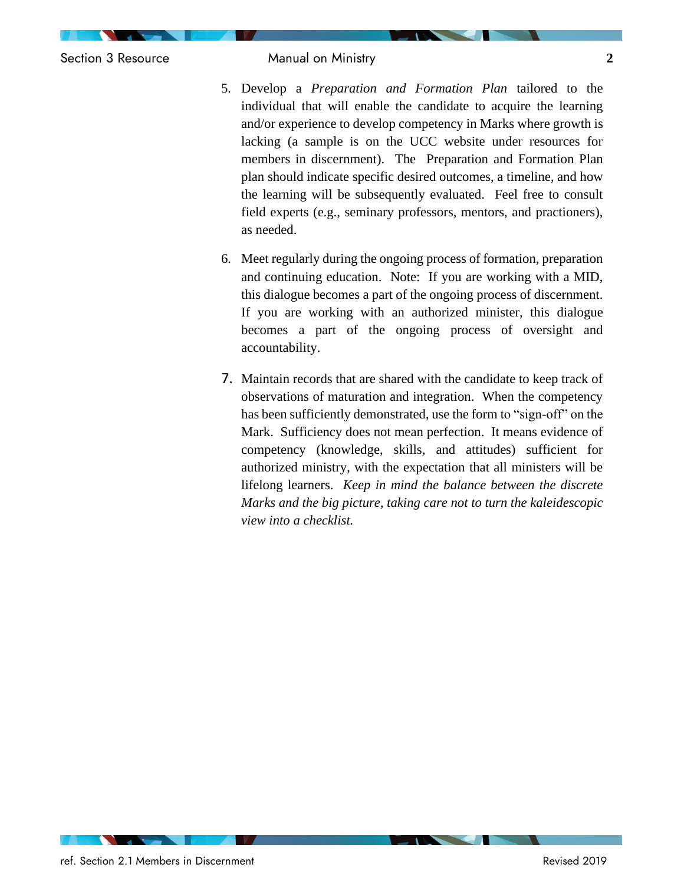Section 3 Resource Manual on Ministry **2**

- 5. Develop a *Preparation and Formation Plan* tailored to the individual that will enable the candidate to acquire the learning and/or experience to develop competency in Marks where growth is lacking (a sample is on the UCC website under resources for members in discernment). The Preparation and Formation Plan plan should indicate specific desired outcomes, a timeline, and how the learning will be subsequently evaluated. Feel free to consult field experts (e.g., seminary professors, mentors, and practioners), as needed.
- 6. Meet regularly during the ongoing process of formation, preparation and continuing education. Note: If you are working with a MID, this dialogue becomes a part of the ongoing process of discernment. If you are working with an authorized minister, this dialogue becomes a part of the ongoing process of oversight and accountability.
- 7. Maintain records that are shared with the candidate to keep track of observations of maturation and integration. When the competency has been sufficiently demonstrated, use the form to "sign-off" on the Mark. Sufficiency does not mean perfection. It means evidence of competency (knowledge, skills, and attitudes) sufficient for authorized ministry, with the expectation that all ministers will be lifelong learners. *Keep in mind the balance between the discrete Marks and the big picture, taking care not to turn the kaleidescopic view into a checklist.*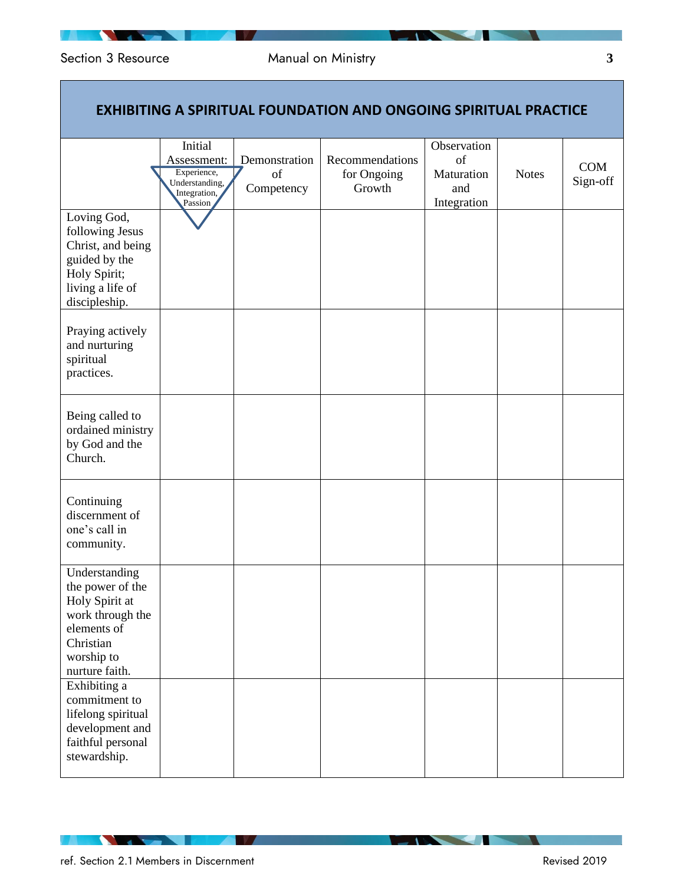# Section 3 Resource **3 19** Manual on Ministry **3 3**

 $\mathcal{L}_{\mathcal{A}}$ 

|                                                                                                                                     |                                                                                    |                                   | <b>EXHIBITING A SPIRITUAL FOUNDATION AND ONGOING SPIRITUAL PRACTICE</b> |                                                       |              |                 |
|-------------------------------------------------------------------------------------------------------------------------------------|------------------------------------------------------------------------------------|-----------------------------------|-------------------------------------------------------------------------|-------------------------------------------------------|--------------|-----------------|
|                                                                                                                                     | Initial<br>Assessment:<br>Experience,<br>Understanding,<br>Integration,<br>Passion | Demonstration<br>of<br>Competency | Recommendations<br>for Ongoing<br>Growth                                | Observation<br>of<br>Maturation<br>and<br>Integration | <b>Notes</b> | COM<br>Sign-off |
| Loving God,<br>following Jesus<br>Christ, and being<br>guided by the<br>Holy Spirit;<br>living a life of<br>discipleship.           |                                                                                    |                                   |                                                                         |                                                       |              |                 |
| Praying actively<br>and nurturing<br>spiritual<br>practices.                                                                        |                                                                                    |                                   |                                                                         |                                                       |              |                 |
| Being called to<br>ordained ministry<br>by God and the<br>Church.                                                                   |                                                                                    |                                   |                                                                         |                                                       |              |                 |
| Continuing<br>discernment of<br>one's call in<br>community.                                                                         |                                                                                    |                                   |                                                                         |                                                       |              |                 |
| Understanding<br>the power of the<br>Holy Spirit at<br>work through the<br>elements of<br>Christian<br>worship to<br>nurture faith. |                                                                                    |                                   |                                                                         |                                                       |              |                 |
| Exhibiting a<br>commitment to<br>lifelong spiritual<br>development and<br>faithful personal<br>stewardship.                         |                                                                                    |                                   |                                                                         |                                                       |              |                 |

**The Company of the Company** 

**Second** Second Second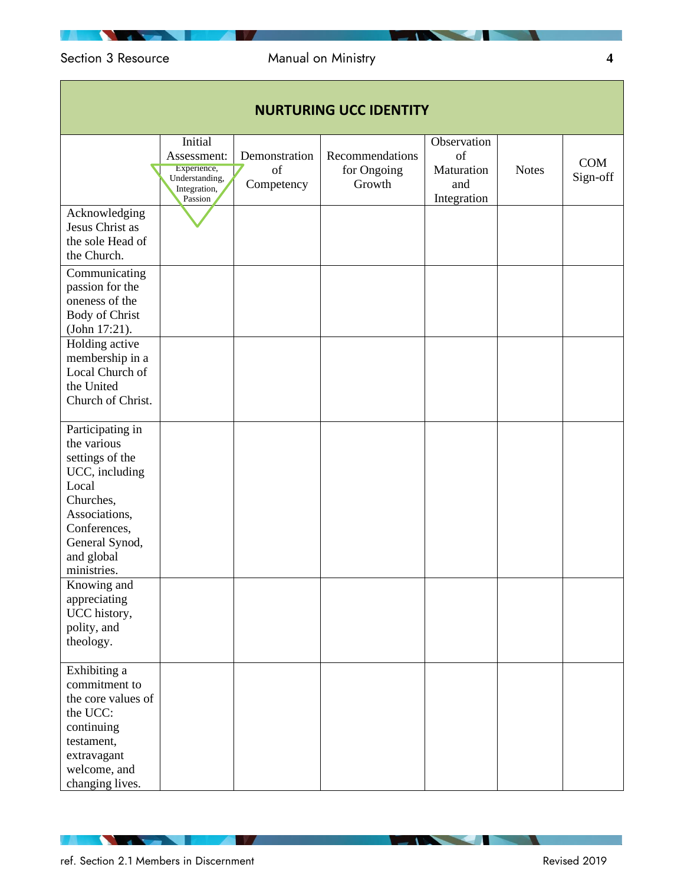# Section 3 Resource Manual on Ministry **4**

| <b>NURTURING UCC IDENTITY</b>                                                                                                                                              |                                                                                    |                                   |                                          |                                                       |              |                 |
|----------------------------------------------------------------------------------------------------------------------------------------------------------------------------|------------------------------------------------------------------------------------|-----------------------------------|------------------------------------------|-------------------------------------------------------|--------------|-----------------|
|                                                                                                                                                                            | Initial<br>Assessment:<br>Experience,<br>Understanding,<br>Integration,<br>Passion | Demonstration<br>of<br>Competency | Recommendations<br>for Ongoing<br>Growth | Observation<br>of<br>Maturation<br>and<br>Integration | <b>Notes</b> | COM<br>Sign-off |
| Acknowledging<br>Jesus Christ as<br>the sole Head of<br>the Church.                                                                                                        |                                                                                    |                                   |                                          |                                                       |              |                 |
| Communicating<br>passion for the<br>oneness of the<br><b>Body of Christ</b><br>(John 17:21).                                                                               |                                                                                    |                                   |                                          |                                                       |              |                 |
| Holding active<br>membership in a<br>Local Church of<br>the United<br>Church of Christ.                                                                                    |                                                                                    |                                   |                                          |                                                       |              |                 |
| Participating in<br>the various<br>settings of the<br>UCC, including<br>Local<br>Churches,<br>Associations,<br>Conferences,<br>General Synod,<br>and global<br>ministries. |                                                                                    |                                   |                                          |                                                       |              |                 |
| Knowing and<br>appreciating<br>UCC history,<br>polity, and<br>theology.                                                                                                    |                                                                                    |                                   |                                          |                                                       |              |                 |
| Exhibiting a<br>commitment to<br>the core values of<br>the UCC:<br>continuing<br>testament,<br>extravagant<br>welcome, and<br>changing lives.                              |                                                                                    |                                   |                                          |                                                       |              |                 |

### ref. Section 2.1 Members in Discernment **Revised 2019** Revised 2019

**Contract Contract Contract** 

 $\sim$   $\sim$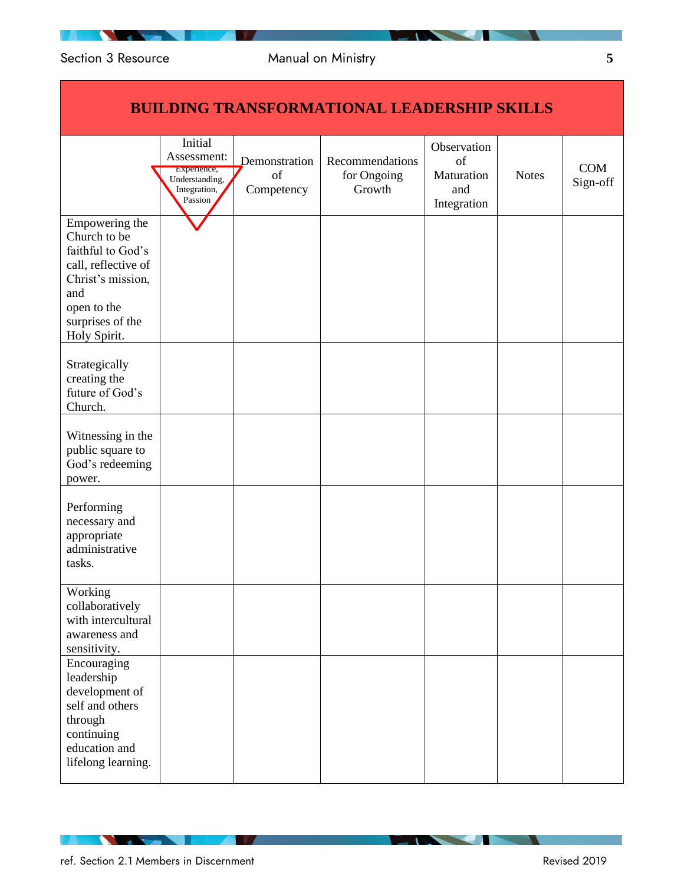|                                                                                                                                                           |                                                                                    |                                   | <u>DUILDING TRANSFURMATIUNAL LEADERSIIIF SRILLS</u> |                                                       |              |                 |
|-----------------------------------------------------------------------------------------------------------------------------------------------------------|------------------------------------------------------------------------------------|-----------------------------------|-----------------------------------------------------|-------------------------------------------------------|--------------|-----------------|
|                                                                                                                                                           | Initial<br>Assessment:<br>Experience,<br>Understanding,<br>Integration,<br>Passion | Demonstration<br>of<br>Competency | Recommendations<br>for Ongoing<br>Growth            | Observation<br>of<br>Maturation<br>and<br>Integration | <b>Notes</b> | COM<br>Sign-off |
| Empowering the<br>Church to be<br>faithful to God's<br>call, reflective of<br>Christ's mission,<br>and<br>open to the<br>surprises of the<br>Holy Spirit. |                                                                                    |                                   |                                                     |                                                       |              |                 |
| Strategically<br>creating the<br>future of God's<br>Church.                                                                                               |                                                                                    |                                   |                                                     |                                                       |              |                 |
| Witnessing in the<br>public square to<br>God's redeeming<br>power.                                                                                        |                                                                                    |                                   |                                                     |                                                       |              |                 |
| Performing<br>necessary and<br>appropriate<br>administrative<br>tasks.                                                                                    |                                                                                    |                                   |                                                     |                                                       |              |                 |
| Working<br>collaboratively<br>with intercultural<br>awareness and<br>sensitivity.                                                                         |                                                                                    |                                   |                                                     |                                                       |              |                 |
| Encouraging<br>leadership<br>development of<br>self and others<br>through<br>continuing<br>education and<br>lifelong learning.                            |                                                                                    |                                   |                                                     |                                                       |              |                 |

## **BUILDING TRANSFORMATIONAL LEADERSHIP SKILLS**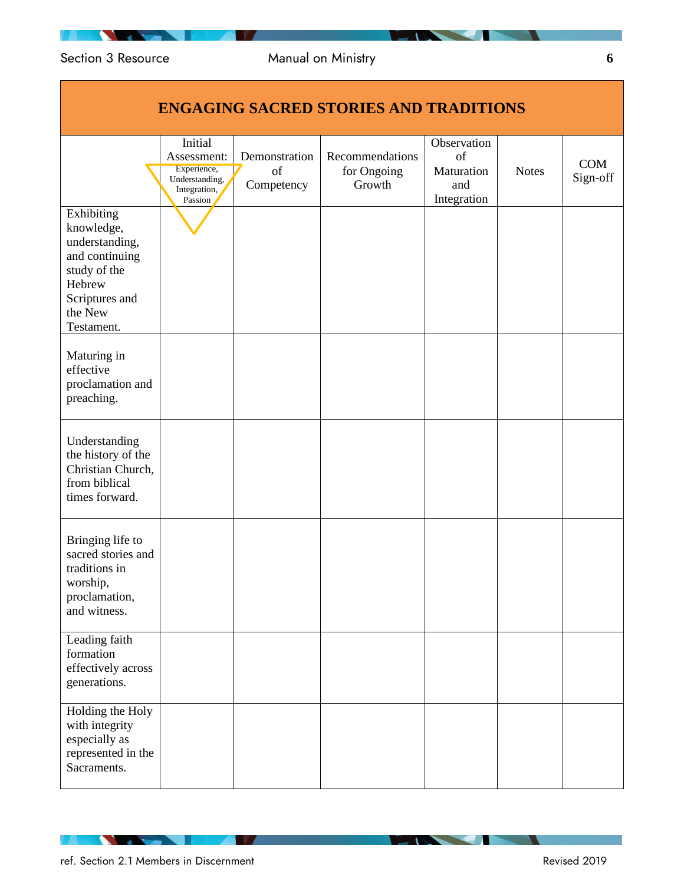|                                                                                                                                   |                                                                                    |                                   | <b>ENGAGING SACRED STORIES AND TRADITIONS</b> |                                                       |              |                 |
|-----------------------------------------------------------------------------------------------------------------------------------|------------------------------------------------------------------------------------|-----------------------------------|-----------------------------------------------|-------------------------------------------------------|--------------|-----------------|
|                                                                                                                                   | Initial<br>Assessment:<br>Experience,<br>Understanding,<br>Integration,<br>Passion | Demonstration<br>of<br>Competency | Recommendations<br>for Ongoing<br>Growth      | Observation<br>of<br>Maturation<br>and<br>Integration | <b>Notes</b> | COM<br>Sign-off |
| Exhibiting<br>knowledge,<br>understanding,<br>and continuing<br>study of the<br>Hebrew<br>Scriptures and<br>the New<br>Testament. |                                                                                    |                                   |                                               |                                                       |              |                 |
| Maturing in<br>effective<br>proclamation and<br>preaching.                                                                        |                                                                                    |                                   |                                               |                                                       |              |                 |
| Understanding<br>the history of the<br>Christian Church,<br>from biblical<br>times forward.                                       |                                                                                    |                                   |                                               |                                                       |              |                 |
| Bringing life to<br>sacred stories and<br>traditions in<br>worship,<br>proclamation,<br>and witness.                              |                                                                                    |                                   |                                               |                                                       |              |                 |
| Leading faith<br>formation<br>effectively across<br>generations.                                                                  |                                                                                    |                                   |                                               |                                                       |              |                 |
| Holding the Holy<br>with integrity<br>especially as<br>represented in the<br>Sacraments.                                          |                                                                                    |                                   |                                               |                                                       |              |                 |

**STATISTICS**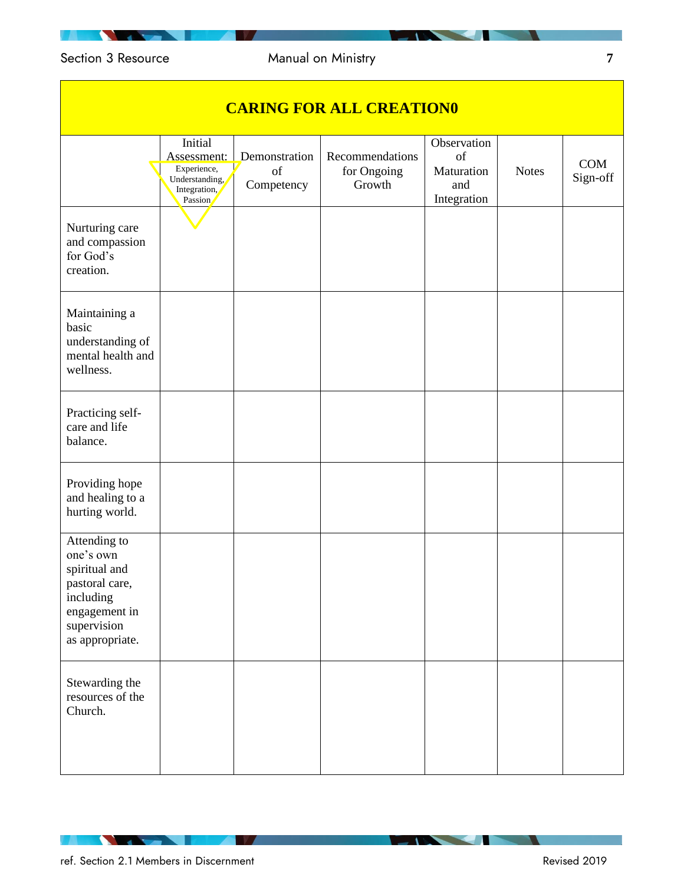# Section 3 Resource Manual on Ministry **7**

| <b>CARING FOR ALL CREATION0</b>                                                                                              |                                                                                    |                                   |                                          |                                                       |              |                 |
|------------------------------------------------------------------------------------------------------------------------------|------------------------------------------------------------------------------------|-----------------------------------|------------------------------------------|-------------------------------------------------------|--------------|-----------------|
|                                                                                                                              | Initial<br>Assessment:<br>Experience,<br>Understanding,<br>Integration,<br>Passion | Demonstration<br>of<br>Competency | Recommendations<br>for Ongoing<br>Growth | Observation<br>of<br>Maturation<br>and<br>Integration | <b>Notes</b> | COM<br>Sign-off |
| Nurturing care<br>and compassion<br>for God's<br>creation.                                                                   |                                                                                    |                                   |                                          |                                                       |              |                 |
| Maintaining a<br>basic<br>understanding of<br>mental health and<br>wellness.                                                 |                                                                                    |                                   |                                          |                                                       |              |                 |
| Practicing self-<br>care and life<br>balance.                                                                                |                                                                                    |                                   |                                          |                                                       |              |                 |
| Providing hope<br>and healing to a<br>hurting world.                                                                         |                                                                                    |                                   |                                          |                                                       |              |                 |
| Attending to<br>one's own<br>spiritual and<br>pastoral care,<br>including<br>engagement in<br>supervision<br>as appropriate. |                                                                                    |                                   |                                          |                                                       |              |                 |
| Stewarding the<br>resources of the<br>Church.                                                                                |                                                                                    |                                   |                                          |                                                       |              |                 |

ref. Section 2.1 Members in Discernment **Revised 2019** Revised 2019

**The Company of the Company** 

**Service** Service

**TAX AND STATE**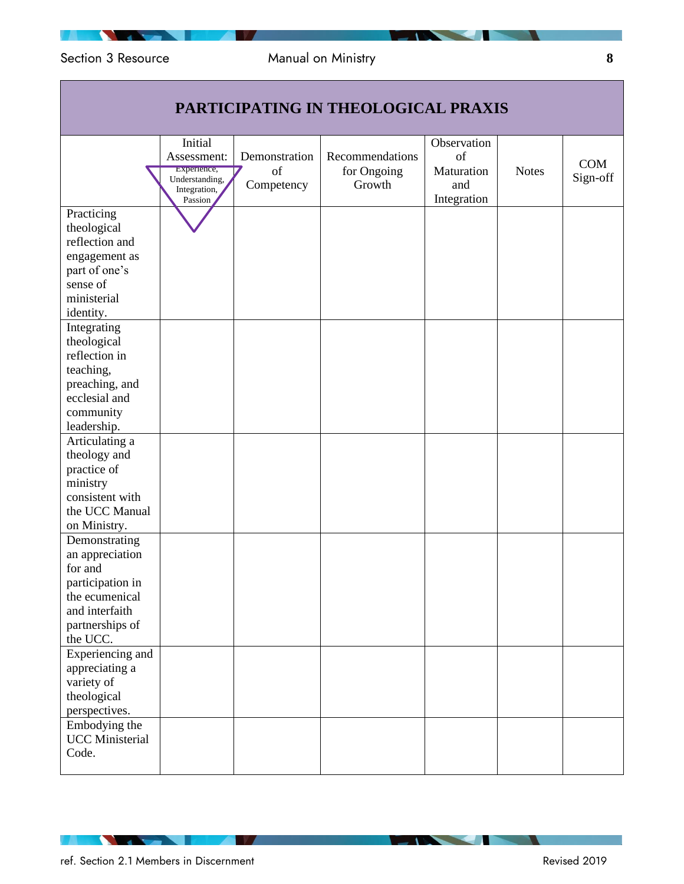|                                                                                                                                      |                                                                                    |                                   | PARTICIPATING IN THEOLOGICAL PRAXIS      |                                                       |              |                        |
|--------------------------------------------------------------------------------------------------------------------------------------|------------------------------------------------------------------------------------|-----------------------------------|------------------------------------------|-------------------------------------------------------|--------------|------------------------|
|                                                                                                                                      | Initial<br>Assessment:<br>Experience,<br>Understanding,<br>Integration,<br>Passion | Demonstration<br>of<br>Competency | Recommendations<br>for Ongoing<br>Growth | Observation<br>of<br>Maturation<br>and<br>Integration | <b>Notes</b> | <b>COM</b><br>Sign-off |
| Practicing<br>theological<br>reflection and<br>engagement as<br>part of one's<br>sense of<br>ministerial<br>identity.                |                                                                                    |                                   |                                          |                                                       |              |                        |
| Integrating<br>theological<br>reflection in<br>teaching,<br>preaching, and<br>ecclesial and<br>community<br>leadership.              |                                                                                    |                                   |                                          |                                                       |              |                        |
| Articulating a<br>theology and<br>practice of<br>ministry<br>consistent with<br>the UCC Manual<br>on Ministry.                       |                                                                                    |                                   |                                          |                                                       |              |                        |
| Demonstrating<br>an appreciation<br>for and<br>participation in<br>the ecumenical<br>and interfaith<br>partnerships of<br>the UCC.   |                                                                                    |                                   |                                          |                                                       |              |                        |
| Experiencing and<br>appreciating a<br>variety of<br>theological<br>perspectives.<br>Embodying the<br><b>UCC</b> Ministerial<br>Code. |                                                                                    |                                   |                                          |                                                       |              |                        |

**The Company of the Company**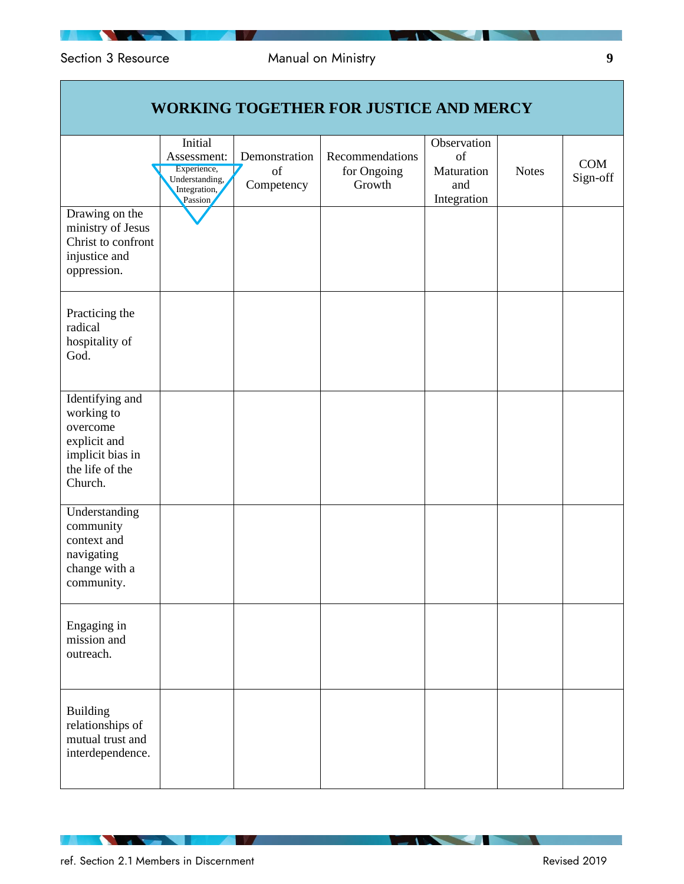| <b>WORKING TOGETHER FOR JUSTICE AND MERCY</b>                                                               |                                                                                    |                                   |                                          |                                                       |              |                 |
|-------------------------------------------------------------------------------------------------------------|------------------------------------------------------------------------------------|-----------------------------------|------------------------------------------|-------------------------------------------------------|--------------|-----------------|
|                                                                                                             | Initial<br>Assessment:<br>Experience,<br>Understanding,<br>Integration,<br>Passion | Demonstration<br>of<br>Competency | Recommendations<br>for Ongoing<br>Growth | Observation<br>of<br>Maturation<br>and<br>Integration | <b>Notes</b> | COM<br>Sign-off |
| Drawing on the<br>ministry of Jesus<br>Christ to confront<br>injustice and<br>oppression.                   |                                                                                    |                                   |                                          |                                                       |              |                 |
| Practicing the<br>radical<br>hospitality of<br>God.                                                         |                                                                                    |                                   |                                          |                                                       |              |                 |
| Identifying and<br>working to<br>overcome<br>explicit and<br>implicit bias in<br>the life of the<br>Church. |                                                                                    |                                   |                                          |                                                       |              |                 |
| Understanding<br>community<br>context and<br>navigating<br>change with a<br>community.                      |                                                                                    |                                   |                                          |                                                       |              |                 |
| Engaging in<br>mission and<br>outreach.                                                                     |                                                                                    |                                   |                                          |                                                       |              |                 |
| <b>Building</b><br>relationships of<br>mutual trust and<br>interdependence.                                 |                                                                                    |                                   |                                          |                                                       |              |                 |

**The Company of the Company** 

**STATISTICS**